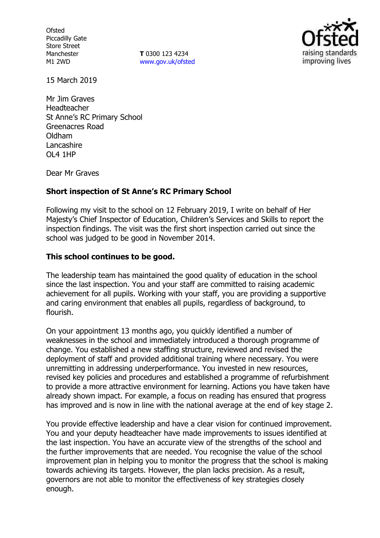**Ofsted** Piccadilly Gate Store Street Manchester M1 2WD

**T** 0300 123 4234 [www.gov.uk/ofsted](http://www.gov.uk/ofsted)



15 March 2019

Mr Jim Graves Headteacher St Anne's RC Primary School Greenacres Road Oldham Lancashire OL4 1HP

Dear Mr Graves

## **Short inspection of St Anne's RC Primary School**

Following my visit to the school on 12 February 2019, I write on behalf of Her Majesty's Chief Inspector of Education, Children's Services and Skills to report the inspection findings. The visit was the first short inspection carried out since the school was judged to be good in November 2014.

## **This school continues to be good.**

The leadership team has maintained the good quality of education in the school since the last inspection. You and your staff are committed to raising academic achievement for all pupils. Working with your staff, you are providing a supportive and caring environment that enables all pupils, regardless of background, to flourish.

On your appointment 13 months ago, you quickly identified a number of weaknesses in the school and immediately introduced a thorough programme of change. You established a new staffing structure, reviewed and revised the deployment of staff and provided additional training where necessary. You were unremitting in addressing underperformance. You invested in new resources, revised key policies and procedures and established a programme of refurbishment to provide a more attractive environment for learning. Actions you have taken have already shown impact. For example, a focus on reading has ensured that progress has improved and is now in line with the national average at the end of key stage 2.

You provide effective leadership and have a clear vision for continued improvement. You and your deputy headteacher have made improvements to issues identified at the last inspection. You have an accurate view of the strengths of the school and the further improvements that are needed. You recognise the value of the school improvement plan in helping you to monitor the progress that the school is making towards achieving its targets. However, the plan lacks precision. As a result, governors are not able to monitor the effectiveness of key strategies closely enough.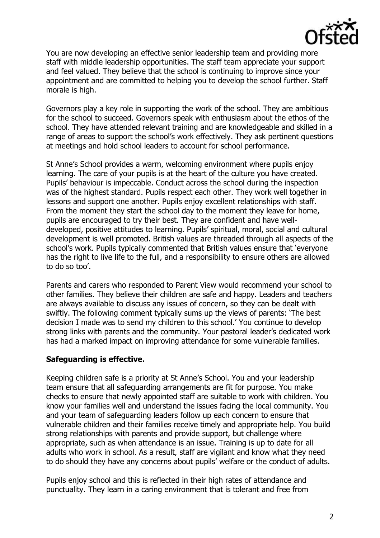

You are now developing an effective senior leadership team and providing more staff with middle leadership opportunities. The staff team appreciate your support and feel valued. They believe that the school is continuing to improve since your appointment and are committed to helping you to develop the school further. Staff morale is high.

Governors play a key role in supporting the work of the school. They are ambitious for the school to succeed. Governors speak with enthusiasm about the ethos of the school. They have attended relevant training and are knowledgeable and skilled in a range of areas to support the school's work effectively. They ask pertinent questions at meetings and hold school leaders to account for school performance.

St Anne's School provides a warm, welcoming environment where pupils enjoy learning. The care of your pupils is at the heart of the culture you have created. Pupils' behaviour is impeccable. Conduct across the school during the inspection was of the highest standard. Pupils respect each other. They work well together in lessons and support one another. Pupils enjoy excellent relationships with staff. From the moment they start the school day to the moment they leave for home, pupils are encouraged to try their best. They are confident and have welldeveloped, positive attitudes to learning. Pupils' spiritual, moral, social and cultural development is well promoted. British values are threaded through all aspects of the school's work. Pupils typically commented that British values ensure that 'everyone has the right to live life to the full, and a responsibility to ensure others are allowed to do so too'.

Parents and carers who responded to Parent View would recommend your school to other families. They believe their children are safe and happy. Leaders and teachers are always available to discuss any issues of concern, so they can be dealt with swiftly. The following comment typically sums up the views of parents: 'The best decision I made was to send my children to this school.' You continue to develop strong links with parents and the community. Your pastoral leader's dedicated work has had a marked impact on improving attendance for some vulnerable families.

# **Safeguarding is effective.**

Keeping children safe is a priority at St Anne's School. You and your leadership team ensure that all safeguarding arrangements are fit for purpose. You make checks to ensure that newly appointed staff are suitable to work with children. You know your families well and understand the issues facing the local community. You and your team of safeguarding leaders follow up each concern to ensure that vulnerable children and their families receive timely and appropriate help. You build strong relationships with parents and provide support, but challenge where appropriate, such as when attendance is an issue. Training is up to date for all adults who work in school. As a result, staff are vigilant and know what they need to do should they have any concerns about pupils' welfare or the conduct of adults.

Pupils enjoy school and this is reflected in their high rates of attendance and punctuality. They learn in a caring environment that is tolerant and free from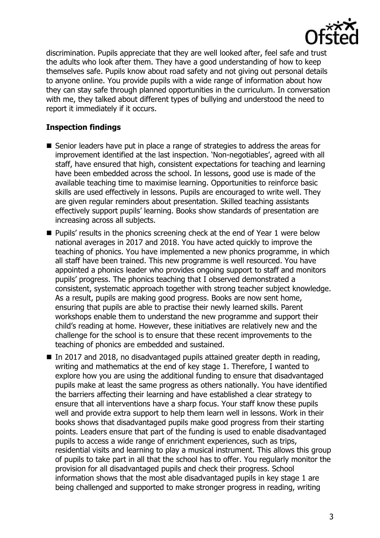

discrimination. Pupils appreciate that they are well looked after, feel safe and trust the adults who look after them. They have a good understanding of how to keep themselves safe. Pupils know about road safety and not giving out personal details to anyone online. You provide pupils with a wide range of information about how they can stay safe through planned opportunities in the curriculum. In conversation with me, they talked about different types of bullying and understood the need to report it immediately if it occurs.

## **Inspection findings**

- Senior leaders have put in place a range of strategies to address the areas for improvement identified at the last inspection. 'Non-negotiables', agreed with all staff, have ensured that high, consistent expectations for teaching and learning have been embedded across the school. In lessons, good use is made of the available teaching time to maximise learning. Opportunities to reinforce basic skills are used effectively in lessons. Pupils are encouraged to write well. They are given regular reminders about presentation. Skilled teaching assistants effectively support pupils' learning. Books show standards of presentation are increasing across all subjects.
- **Pupils'** results in the phonics screening check at the end of Year 1 were below national averages in 2017 and 2018. You have acted quickly to improve the teaching of phonics. You have implemented a new phonics programme, in which all staff have been trained. This new programme is well resourced. You have appointed a phonics leader who provides ongoing support to staff and monitors pupils' progress. The phonics teaching that I observed demonstrated a consistent, systematic approach together with strong teacher subject knowledge. As a result, pupils are making good progress. Books are now sent home, ensuring that pupils are able to practise their newly learned skills. Parent workshops enable them to understand the new programme and support their child's reading at home. However, these initiatives are relatively new and the challenge for the school is to ensure that these recent improvements to the teaching of phonics are embedded and sustained.
- In 2017 and 2018, no disadvantaged pupils attained greater depth in reading, writing and mathematics at the end of key stage 1. Therefore, I wanted to explore how you are using the additional funding to ensure that disadvantaged pupils make at least the same progress as others nationally. You have identified the barriers affecting their learning and have established a clear strategy to ensure that all interventions have a sharp focus. Your staff know these pupils well and provide extra support to help them learn well in lessons. Work in their books shows that disadvantaged pupils make good progress from their starting points. Leaders ensure that part of the funding is used to enable disadvantaged pupils to access a wide range of enrichment experiences, such as trips, residential visits and learning to play a musical instrument. This allows this group of pupils to take part in all that the school has to offer. You regularly monitor the provision for all disadvantaged pupils and check their progress. School information shows that the most able disadvantaged pupils in key stage 1 are being challenged and supported to make stronger progress in reading, writing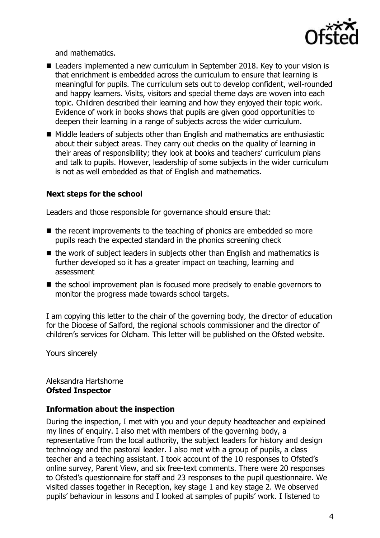

and mathematics.

- Leaders implemented a new curriculum in September 2018. Key to your vision is that enrichment is embedded across the curriculum to ensure that learning is meaningful for pupils. The curriculum sets out to develop confident, well-rounded and happy learners. Visits, visitors and special theme days are woven into each topic. Children described their learning and how they enjoyed their topic work. Evidence of work in books shows that pupils are given good opportunities to deepen their learning in a range of subjects across the wider curriculum.
- Middle leaders of subjects other than English and mathematics are enthusiastic about their subject areas. They carry out checks on the quality of learning in their areas of responsibility; they look at books and teachers' curriculum plans and talk to pupils. However, leadership of some subjects in the wider curriculum is not as well embedded as that of English and mathematics.

## **Next steps for the school**

Leaders and those responsible for governance should ensure that:

- $\blacksquare$  the recent improvements to the teaching of phonics are embedded so more pupils reach the expected standard in the phonics screening check
- $\blacksquare$  the work of subject leaders in subjects other than English and mathematics is further developed so it has a greater impact on teaching, learning and assessment
- $\blacksquare$  the school improvement plan is focused more precisely to enable governors to monitor the progress made towards school targets.

I am copying this letter to the chair of the governing body, the director of education for the Diocese of Salford, the regional schools commissioner and the director of children's services for Oldham. This letter will be published on the Ofsted website.

Yours sincerely

#### Aleksandra Hartshorne **Ofsted Inspector**

## **Information about the inspection**

During the inspection, I met with you and your deputy headteacher and explained my lines of enquiry. I also met with members of the governing body, a representative from the local authority, the subject leaders for history and design technology and the pastoral leader. I also met with a group of pupils, a class teacher and a teaching assistant. I took account of the 10 responses to Ofsted's online survey, Parent View, and six free-text comments. There were 20 responses to Ofsted's questionnaire for staff and 23 responses to the pupil questionnaire. We visited classes together in Reception, key stage 1 and key stage 2. We observed pupils' behaviour in lessons and I looked at samples of pupils' work. I listened to